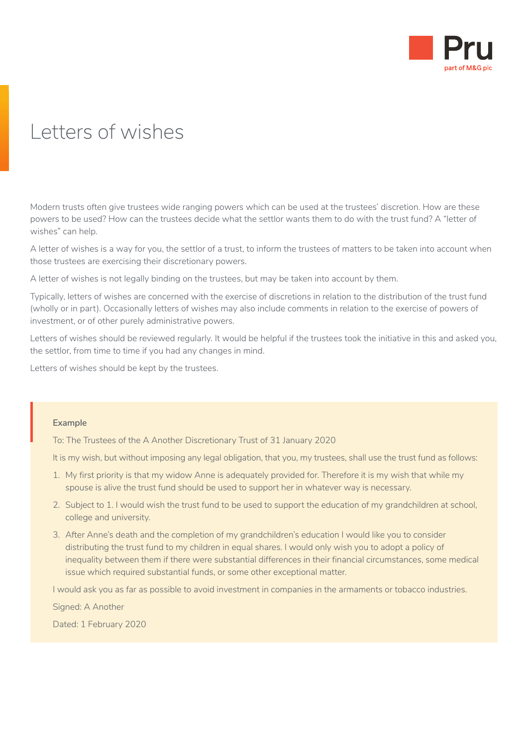

## Letters of wishes

Modern trusts often give trustees wide ranging powers which can be used at the trustees' discretion. How are these powers to be used? How can the trustees decide what the settlor wants them to do with the trust fund? A "letter of wishes" can help.

A letter of wishes is a way for you, the settlor of a trust, to inform the trustees of matters to be taken into account when those trustees are exercising their discretionary powers.

A letter of wishes is not legally binding on the trustees, but may be taken into account by them.

Typically, letters of wishes are concerned with the exercise of discretions in relation to the distribution of the trust fund (wholly or in part). Occasionally letters of wishes may also include comments in relation to the exercise of powers of investment, or of other purely administrative powers.

Letters of wishes should be reviewed regularly. It would be helpful if the trustees took the initiative in this and asked you, the settlor, from time to time if you had any changes in mind.

Letters of wishes should be kept by the trustees.

## **Example**

To: The Trustees of the A Another Discretionary Trust of 31 January 2020  $\Bigg\vert$  E

It is my wish, but without imposing any legal obligation, that you, my trustees, shall use the trust fund as follows:

- 1. My first priority is that my widow Anne is adequately provided for. Therefore it is my wish that while my spouse is alive the trust fund should be used to support her in whatever way is necessary.
- 2. Subject to 1. I would wish the trust fund to be used to support the education of my grandchildren at school, college and university.
- 3. After Anne's death and the completion of my grandchildren's education I would like you to consider distributing the trust fund to my children in equal shares. I would only wish you to adopt a policy of inequality between them if there were substantial differences in their financial circumstances, some medical issue which required substantial funds, or some other exceptional matter.

I would ask you as far as possible to avoid investment in companies in the armaments or tobacco industries.

Signed: A Another

Dated: 1 February 2020